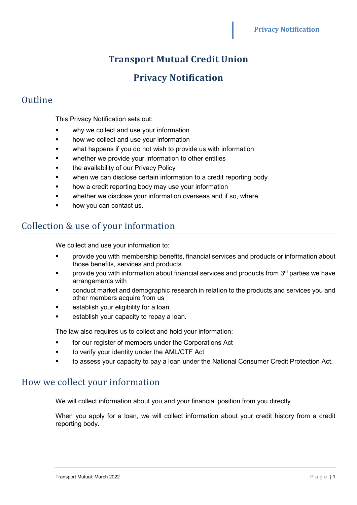# **Transport Mutual Credit Union**

## **Privacy Notification**

## Outline

This Privacy Notification sets out:

- why we collect and use your information
- how we collect and use your information
- what happens if you do not wish to provide us with information
- whether we provide your information to other entities
- the availability of our Privacy Policy
- when we can disclose certain information to a credit reporting body
- **•** how a credit reporting body may use your information
- whether we disclose your information overseas and if so, where
- how you can contact us.

### Collection & use of your information

We collect and use your information to:

- provide you with membership benefits, financial services and products or information about those benefits, services and products
- provide you with information about financial services and products from 3<sup>rd</sup> parties we have arrangements with
- conduct market and demographic research in relation to the products and services you and other members acquire from us
- establish your eligibility for a loan
- establish your capacity to repay a loan.

The law also requires us to collect and hold your information:

- for our register of members under the Corporations Act
- to verify your identity under the AML/CTF Act
- to assess your capacity to pay a loan under the National Consumer Credit Protection Act.

## How we collect your information

We will collect information about you and your financial position from you directly

When you apply for a loan, we will collect information about your credit history from a credit reporting body.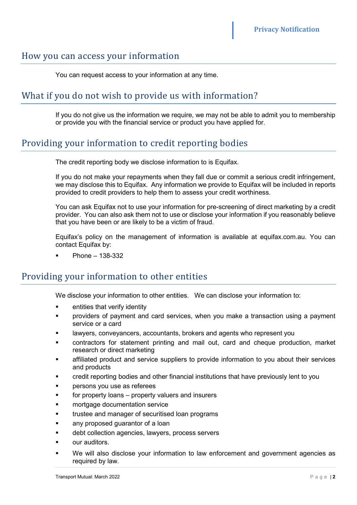#### How you can access your information

You can request access to your information at any time.

### What if you do not wish to provide us with information?

If you do not give us the information we require, we may not be able to admit you to membership or provide you with the financial service or product you have applied for.

### Providing your information to credit reporting bodies

The credit reporting body we disclose information to is Equifax.

If you do not make your repayments when they fall due or commit a serious credit infringement, we may disclose this to Equifax. Any information we provide to Equifax will be included in reports provided to credit providers to help them to assess your credit worthiness.

You can ask Equifax not to use your information for pre-screening of direct marketing by a credit provider. You can also ask them not to use or disclose your information if you reasonably believe that you have been or are likely to be a victim of fraud.

Equifax's policy on the management of information is available at equifax.com.au. You can contact Equifax by:

Phone – 138-332

#### Providing your information to other entities

We disclose your information to other entities. We can disclose your information to:

- entities that verify identity
- providers of payment and card services, when you make a transaction using a payment service or a card
- lawyers, conveyancers, accountants, brokers and agents who represent you
- contractors for statement printing and mail out, card and cheque production, market research or direct marketing
- affiliated product and service suppliers to provide information to you about their services and products
- credit reporting bodies and other financial institutions that have previously lent to you
- persons you use as referees
- **for property loans property valuers and insurers**
- mortgage documentation service
- trustee and manager of securitised loan programs
- any proposed guarantor of a loan
- debt collection agencies, lawyers, process servers
- our auditors.
- We will also disclose your information to law enforcement and government agencies as required by law.